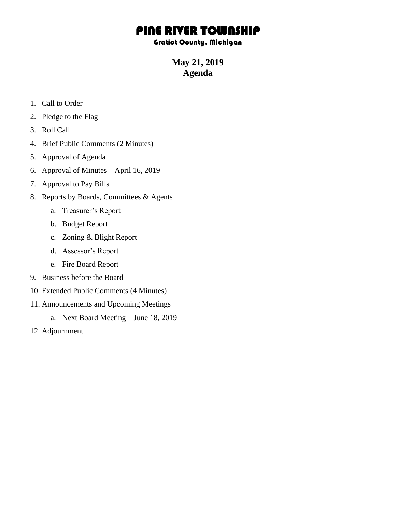## PINE RIVER TOWNSHIP

## Gratiot County, Michigan

**May 21, 2019 Agenda**

- 1. Call to Order
- 2. Pledge to the Flag
- 3. Roll Call
- 4. Brief Public Comments (2 Minutes)
- 5. Approval of Agenda
- 6. Approval of Minutes April 16, 2019
- 7. Approval to Pay Bills
- 8. Reports by Boards, Committees & Agents
	- a. Treasurer's Report
	- b. Budget Report
	- c. Zoning & Blight Report
	- d. Assessor's Report
	- e. Fire Board Report
- 9. Business before the Board
- 10. Extended Public Comments (4 Minutes)
- 11. Announcements and Upcoming Meetings
	- a. Next Board Meeting June 18, 2019
- 12. Adjournment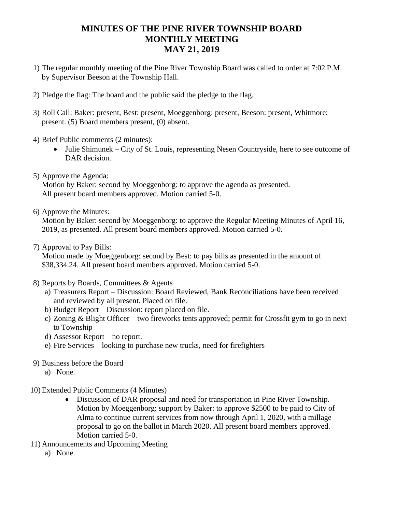## **MINUTES OF THE PINE RIVER TOWNSHIP BOARD MONTHLY MEETING MAY 21, 2019**

- 1) The regular monthly meeting of the Pine River Township Board was called to order at 7:02 P.M. by Supervisor Beeson at the Township Hall.
- 2) Pledge the flag: The board and the public said the pledge to the flag.
- 3) Roll Call: Baker: present, Best: present, Moeggenborg: present, Beeson: present, Whitmore: present. (5) Board members present, (0) absent.
- 4) Brief Public comments (2 minutes):
	- Julie Shimunek City of St. Louis, representing Nesen Countryside, here to see outcome of DAR decision.
- 5) Approve the Agenda:

Motion by Baker: second by Moeggenborg: to approve the agenda as presented. All present board members approved. Motion carried 5-0.

6) Approve the Minutes:

Motion by Baker: second by Moeggenborg: to approve the Regular Meeting Minutes of April 16, 2019, as presented. All present board members approved. Motion carried 5-0.

7) Approval to Pay Bills:

Motion made by Moeggenborg: second by Best: to pay bills as presented in the amount of \$38,334.24. All present board members approved. Motion carried 5-0.

- 8) Reports by Boards, Committees & Agents
	- a) Treasurers Report Discussion: Board Reviewed, Bank Reconciliations have been received and reviewed by all present. Placed on file.
	- b) Budget Report Discussion: report placed on file.
	- c) Zoning & Blight Officer two fireworks tents approved; permit for Crossfit gym to go in next to Township
	- d) Assessor Report no report.
	- e) Fire Services looking to purchase new trucks, need for firefighters
- 9) Business before the Board
	- a) None.
- 10) Extended Public Comments (4 Minutes)
	- Discussion of DAR proposal and need for transportation in Pine River Township. Motion by Moeggenborg: support by Baker: to approve \$2500 to be paid to City of Alma to continue current services from now through April 1, 2020, with a millage proposal to go on the ballot in March 2020. All present board members approved. Motion carried 5-0.
- 11) Announcements and Upcoming Meeting
	- a) None.